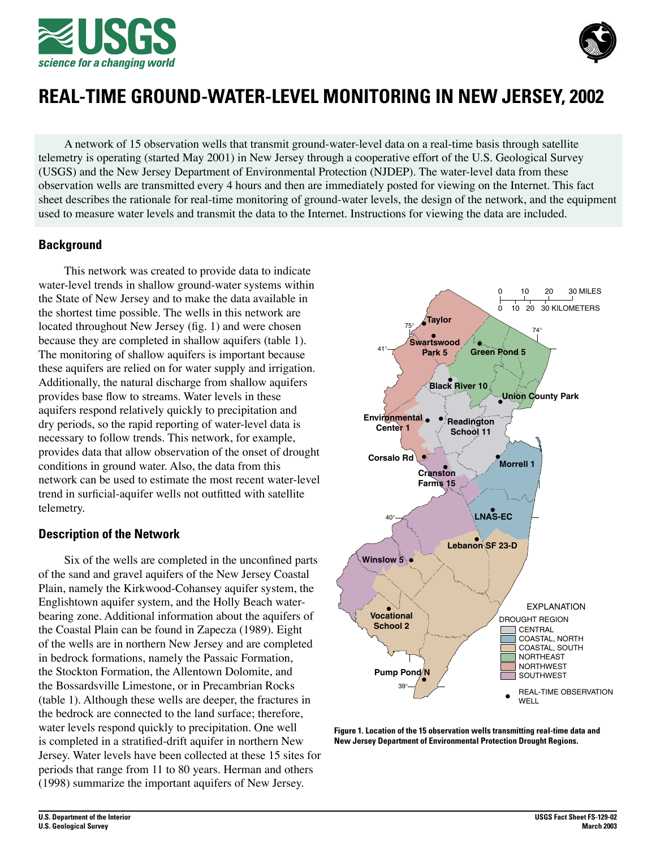



# **REAL-TIME GROUND-WATER-LEVEL MONITORING IN NEW JERSEY, 2002**

A network of 15 observation wells that transmit ground-water-level data on a real-time basis through satellite telemetry is operating (started May 2001) in New Jersey through a cooperative effort of the U.S. Geological Survey (USGS) and the New Jersey Department of Environmental Protection (NJDEP). The water-level data from these observation wells are transmitted every 4 hours and then are immediately posted for viewing on the Internet. This fact sheet describes the rationale for real-time monitoring of ground-water levels, the design of the network, and the equipment used to measure water levels and transmit the data to the Internet. Instructions for viewing the data are included.

# **Background**

This network was created to provide data to indicate water-level trends in shallow ground-water systems within the State of New Jersey and to make the data available in the shortest time possible. The wells in this network are located throughout New Jersey (fig. 1) and were chosen because they are completed in shallow aquifers (table 1). The monitoring of shallow aquifers is important because these aquifers are relied on for water supply and irrigation. Additionally, the natural discharge from shallow aquifers provides base flow to streams. Water levels in these aquifers respond relatively quickly to precipitation and dry periods, so the rapid reporting of water-level data is necessary to follow trends. This network, for example, provides data that allow observation of the onset of drought conditions in ground water. Also, the data from this network can be used to estimate the most recent water-level trend in surficial-aquifer wells not outfitted with satellite telemetry.

# **Description of the Network**

Six of the wells are completed in the unconfined parts of the sand and gravel aquifers of the New Jersey Coastal Plain, namely the Kirkwood-Cohansey aquifer system, the Englishtown aquifer system, and the Holly Beach waterbearing zone. Additional information about the aquifers of the Coastal Plain can be found in Zapecza (1989). Eight of the wells are in northern New Jersey and are completed in bedrock formations, namely the Passaic Formation, the Stockton Formation, the Allentown Dolomite, and the Bossardsville Limestone, or in Precambrian Rocks (table 1). Although these wells are deeper, the fractures in the bedrock are connected to the land surface; therefore, water levels respond quickly to precipitation. One well is completed in a stratified-drift aquifer in northern New Jersey. Water levels have been collected at these 15 sites for periods that range from 11 to 80 years. Herman and others (1998) summarize the important aquifers of New Jersey.



**Figure 1. Location of the 15 observation wells transmitting real-time data and New Jersey Department of Environmental Protection Drought Regions.**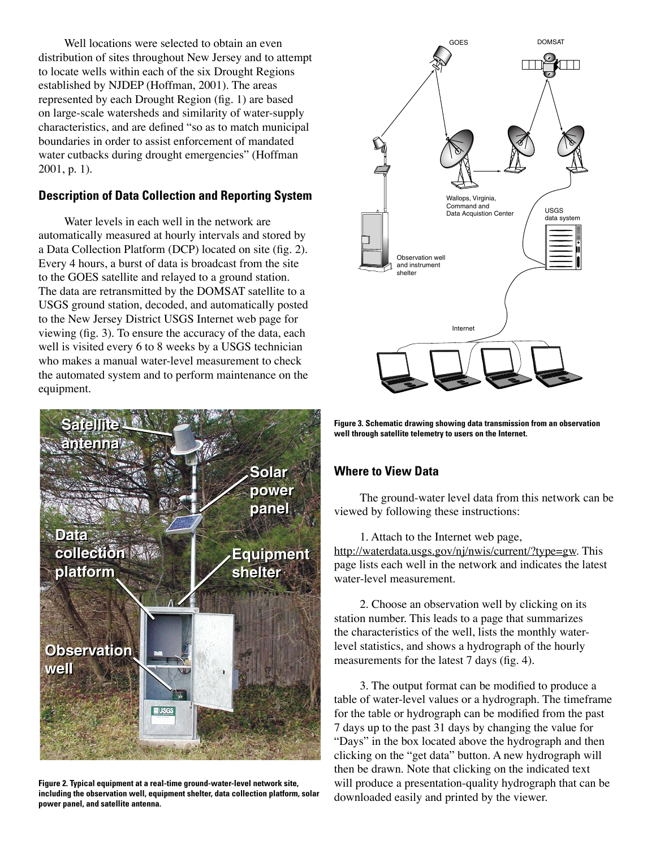Well locations were selected to obtain an even distribution of sites throughout New Jersey and to attempt to locate wells within each of the six Drought Regions established by NJDEP (Hoffman, 2001). The areas represented by each Drought Region (fig. 1) are based on large-scale watersheds and similarity of water-supply characteristics, and are defined "so as to match municipal boundaries in order to assist enforcement of mandated water cutbacks during drought emergencies" (Hoffman 2001, p. 1).

# **Description of Data Collection and Reporting System**

Water levels in each well in the network are automatically measured at hourly intervals and stored by a Data Collection Platform (DCP) located on site (fig. 2). Every 4 hours, a burst of data is broadcast from the site to the GOES satellite and relayed to a ground station. The data are retransmitted by the DOMSAT satellite to a USGS ground station, decoded, and automatically posted to the New Jersey District USGS Internet web page for viewing (fig. 3). To ensure the accuracy of the data, each well is visited every 6 to 8 weeks by a USGS technician who makes a manual water-level measurement to check the automated system and to perform maintenance on the equipment.



**Figure 2. Typical equipment at a real-time ground-water-level network site, including the observation well, equipment shelter, data collection platform, solar power panel, and satellite antenna.**



**Figure 3. Schematic drawing showing data transmission from an observation**  well through satellite telemetry to users on the Internet.

# **Where to View Data**

The ground-water level data from this network can be viewed by following these instructions:

1. Attach to the Internet web page, [http://waterdata.usgs.gov/nj/nwis/current/?type=gw.](http://waterdata.usgs.gov/nj/nwis/current/?type=gw) This page lists each well in the network and indicates the latest water-level measurement.

2. Choose an observation well by clicking on its station number. This leads to a page that summarizes the characteristics of the well, lists the monthly waterlevel statistics, and shows a hydrograph of the hourly measurements for the latest 7 days (fig. 4).

3. The output format can be modified to produce a table of water-level values or a hydrograph. The timeframe for the table or hydrograph can be modified from the past 7 days up to the past 31 days by changing the value for "Days" in the box located above the hydrograph and then clicking on the "get data" button. A new hydrograph will then be drawn. Note that clicking on the indicated text will produce a presentation-quality hydrograph that can be downloaded easily and printed by the viewer.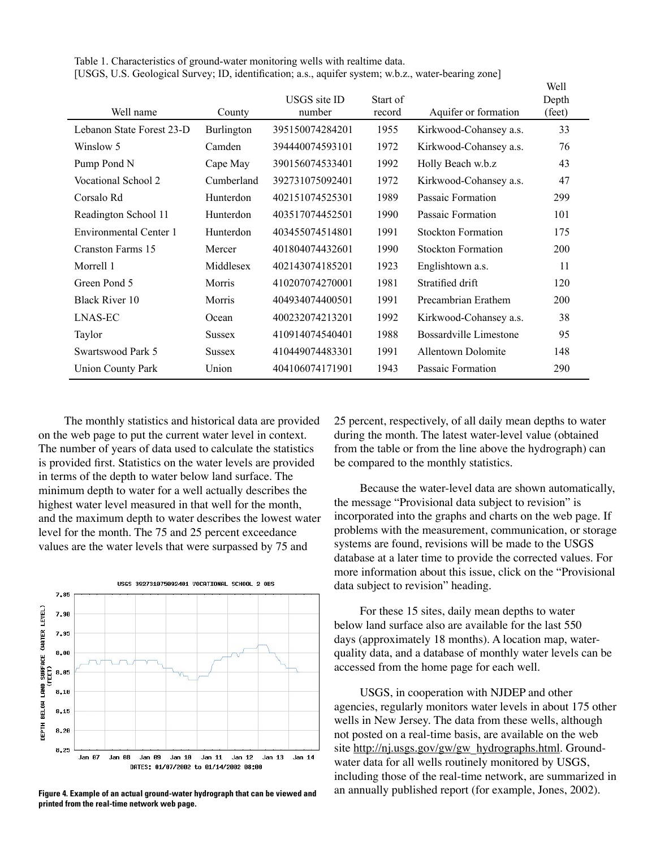Table 1. Characteristics of ground-water monitoring wells with realtime data. [USGS, U.S. Geological Survey; ID, identification; a.s., aquifer system; w.b.z., water-bearing zone]

| Well name                 | County        | USGS site ID<br>number | Start of<br>record | Aquifer or formation      | well<br>Depth<br>(feet) |
|---------------------------|---------------|------------------------|--------------------|---------------------------|-------------------------|
| Lebanon State Forest 23-D | Burlington    | 395150074284201        | 1955               | Kirkwood-Cohansey a.s.    | 33                      |
| Winslow 5                 | Camden        | 394440074593101        | 1972               | Kirkwood-Cohansey a.s.    | 76                      |
| Pump Pond N               | Cape May      | 390156074533401        | 1992               | Holly Beach w.b.z         | 43                      |
| Vocational School 2       | Cumberland    | 392731075092401        | 1972               | Kirkwood-Cohansey a.s.    | 47                      |
| Corsalo Rd                | Hunterdon     | 402151074525301        | 1989               | Passaic Formation         | 299                     |
| Readington School 11      | Hunterdon     | 403517074452501        | 1990               | Passaic Formation         | 101                     |
| Environmental Center 1    | Hunterdon     | 403455074514801        | 1991               | <b>Stockton Formation</b> | 175                     |
| Cranston Farms 15         | Mercer        | 401804074432601        | 1990               | <b>Stockton Formation</b> | 200                     |
| Morrell 1                 | Middlesex     | 402143074185201        | 1923               | Englishtown a.s.          | 11                      |
| Green Pond 5              | Morris        | 410207074270001        | 1981               | Stratified drift          | 120                     |
| <b>Black River 10</b>     | Morris        | 404934074400501        | 1991               | Precambrian Erathem       | <b>200</b>              |
| LNAS-EC                   | Ocean         | 400232074213201        | 1992               | Kirkwood-Cohansey a.s.    | 38                      |
| Taylor                    | <b>Sussex</b> | 410914074540401        | 1988               | Bossardville Limestone    | 95                      |
| Swartswood Park 5         | <b>Sussex</b> | 410449074483301        | 1991               | <b>Allentown Dolomite</b> | 148                     |
| <b>Union County Park</b>  | Union         | 404106074171901        | 1943               | Passaic Formation         | 290                     |

The monthly statistics and historical data are provided on the web page to put the current water level in context. The number of years of data used to calculate the statistics is provided first. Statistics on the water levels are provided in terms of the depth to water below land surface. The minimum depth to water for a well actually describes the highest water level measured in that well for the month, and the maximum depth to water describes the lowest water level for the month. The 75 and 25 percent exceedance values are the water levels that were surpassed by 75 and



**printed from the real-time network web page.**

25 percent, respectively, of all daily mean depths to water during the month. The latest water-level value (obtained from the table or from the line above the hydrograph) can be compared to the monthly statistics.

 $337.11$ 

Because the water-level data are shown automatically, the message "Provisional data subject to revision" is incorporated into the graphs and charts on the web page. If problems with the measurement, communication, or storage systems are found, revisions will be made to the USGS database at a later time to provide the corrected values. For more information about this issue, click on the "Provisional data subject to revision" heading.

For these 15 sites, daily mean depths to water below land surface also are available for the last 550 days (approximately 18 months). A location map, waterquality data, and a database of monthly water levels can be accessed from the home page for each well.

USGS, in cooperation with NJDEP and other agencies, regularly monitors water levels in about 175 other wells in New Jersey. The data from these wells, although not posted on a real-time basis, are available on the web site [http://nj.usgs.gov/gw/gw\\_hydrographs.html.](http://nj.usgs.gov/gw/gw_hydrographs.html) Groundwater data for all wells routinely monitored by USGS, including those of the real-time network, are summarized in Figure 4. Example of an actual ground-water hydrograph that can be viewed and an annually published report (for example, Jones, 2002).